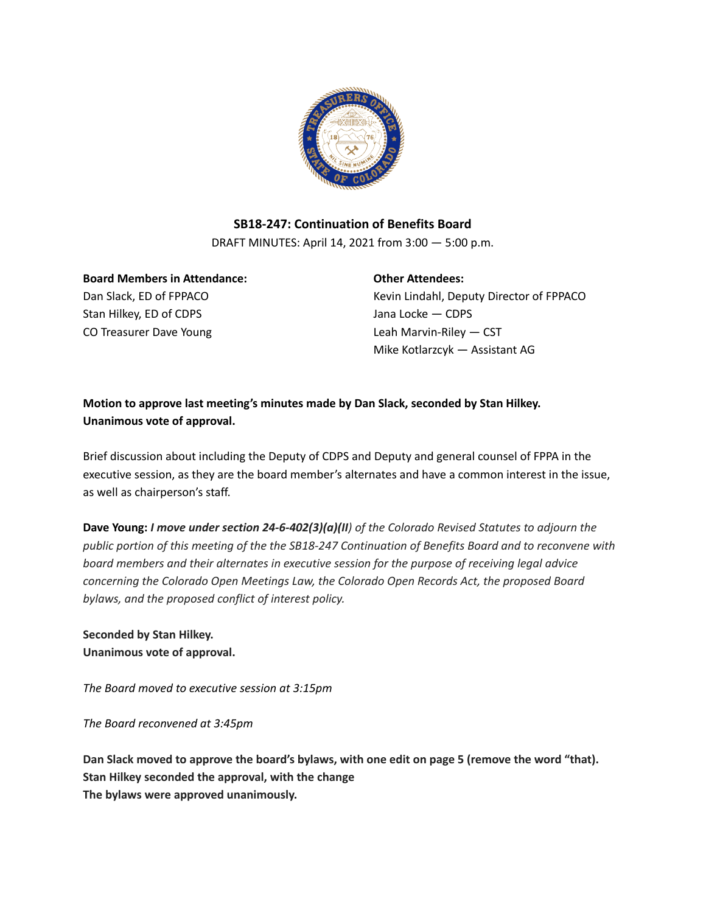

## **SB18-247: Continuation of Benefits Board**

DRAFT MINUTES: April 14, 2021 from 3:00 — 5:00 p.m.

**Board Members in Attendance:** Dan Slack, ED of FPPACO Stan Hilkey, ED of CDPS CO Treasurer Dave Young

**Other Attendees:**

Kevin Lindahl, Deputy Director of FPPACO Jana Locke — CDPS Leah Marvin-Riley — CST Mike Kotlarzcyk — Assistant AG

**Motion to approve last meeting's minutes made by Dan Slack, seconded by Stan Hilkey. Unanimous vote of approval.**

Brief discussion about including the Deputy of CDPS and Deputy and general counsel of FPPA in the executive session, as they are the board member's alternates and have a common interest in the issue, as well as chairperson's staff.

**Dave Young:** *I move under section 24-6-402(3)(a)(II) of the Colorado Revised Statutes to adjourn the public portion of this meeting of the the SB18-247 Continuation of Benefits Board and to reconvene with board members and their alternates in executive session for the purpose of receiving legal advice concerning the Colorado Open Meetings Law, the Colorado Open Records Act, the proposed Board bylaws, and the proposed conflict of interest policy.*

**Seconded by Stan Hilkey. Unanimous vote of approval.**

*The Board moved to executive session at 3:15pm*

*The Board reconvened at 3:45pm*

**Dan Slack moved to approve the board's bylaws, with one edit on page 5 (remove the word "that). Stan Hilkey seconded the approval, with the change The bylaws were approved unanimously.**